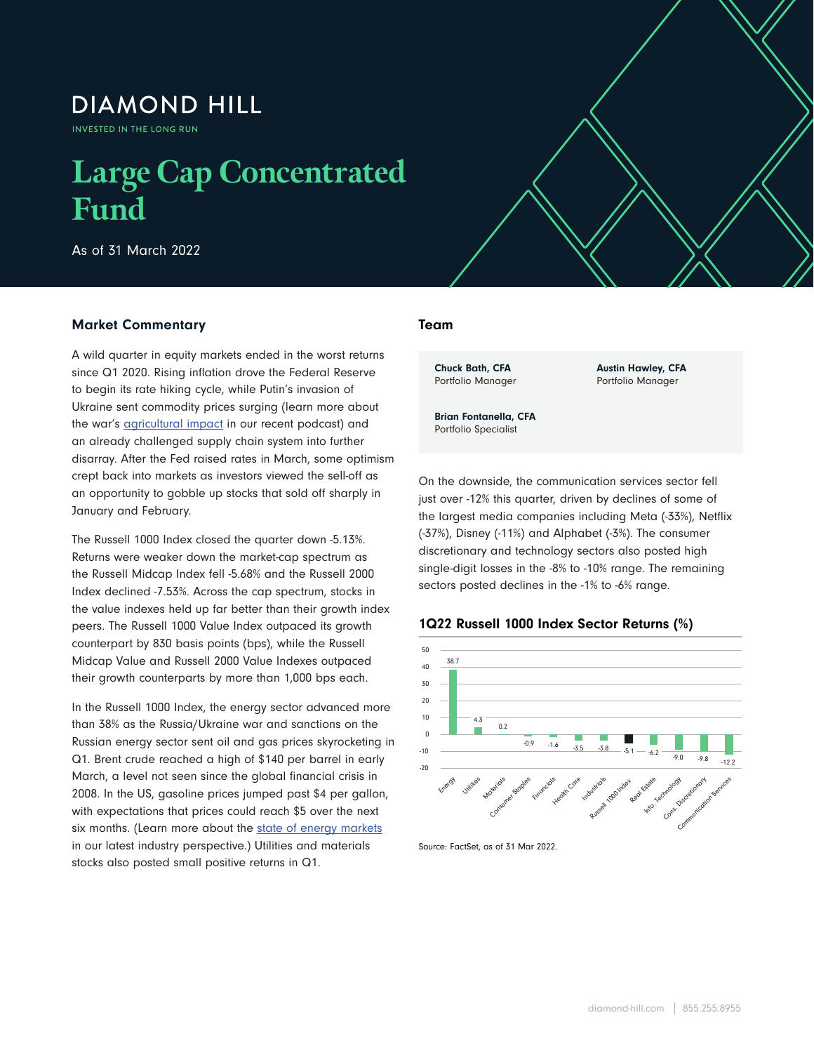## **DIAMOND HILL**

INVESTED IN THE LONG RUN

# **Large Cap Concentrated Fund**

As of 31 March 2022

### Market Commentary

A wild quarter in equity markets ended in the worst returns since Q1 2020. Rising inflation drove the Federal Reserve to begin its rate hiking cycle, while Putin's invasion of Ukraine sent commodity prices surging (learn more about the war's **agricultural impact** in our recent podcast) and an already challenged supply chain system into further disarray. After the Fed raised rates in March, some optimism crept back into markets as investors viewed the sell-off as an opportunity to gobble up stocks that sold off sharply in January and February.

The Russell 1000 Index closed the quarter down -5.13%. Returns were weaker down the market-cap spectrum as the Russell Midcap Index fell -5.68% and the Russell 2000 Index declined -7.53%. Across the cap spectrum, stocks in the value indexes held up far better than their growth index peers. The Russell 1000 Value Index outpaced its growth counterpart by 830 basis points (bps), while the Russell Midcap Value and Russell 2000 Value Indexes outpaced their growth counterparts by more than 1,000 bps each.

In the Russell 1000 Index, the energy sector advanced more than 38% as the Russia/Ukraine war and sanctions on the Russian energy sector sent oil and gas prices skyrocketing in Q1. Brent crude reached a high of \$140 per barrel in early March, a level not seen since the global financial crisis in 2008. In the US, gasoline prices jumped past \$4 per gallon, with expectations that prices could reach \$5 over the next six months. (Learn more about the [state of energy markets](https://www.diamond-hill.com/insights/a-400/geopolitics-the-state-of-energy-markets-today.fs) in our latest industry perspective.) Utilities and materials stocks also posted small positive returns in Q1.

### Team

 $\mathcal{L}_{\mathcal{A}}$  , and  $\mathcal{L}_{\mathcal{A}}$  as of 31 March 2022  $\mathcal{L}_{\mathcal{A}}$ 

Chuck Bath, CFA Portfolio Manager Austin Hawley, CFA Portfolio Manager

Brian Fontanella, CFA Portfolio Specialist

On the downside, the communication services sector fell just over -12% this quarter, driven by declines of some of the largest media companies including Meta (-33%), Netflix (-37%), Disney (-11%) and Alphabet (-3%). The consumer discretionary and technology sectors also posted high single-digit losses in the -8% to -10% range. The remaining sectors posted declines in the -1% to -6% range.





Source: FactSet, as of 31 Mar 2022.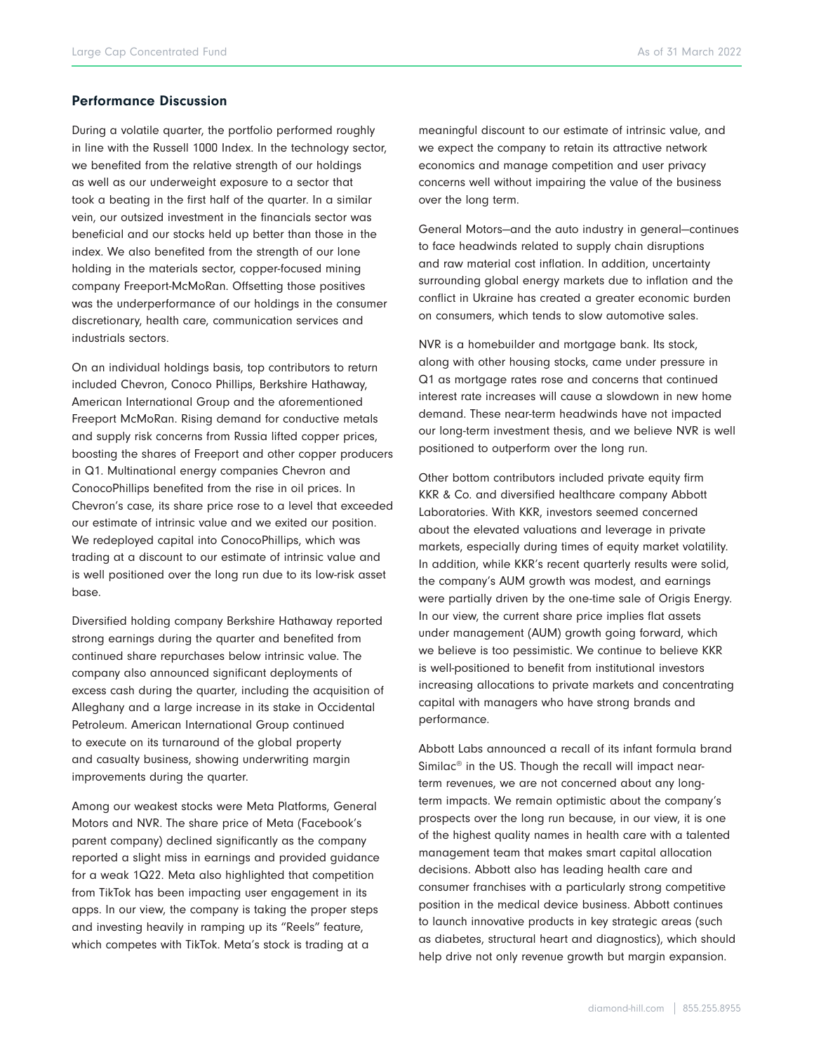#### Performance Discussion

During a volatile quarter, the portfolio performed roughly in line with the Russell 1000 Index. In the technology sector, we benefited from the relative strength of our holdings as well as our underweight exposure to a sector that took a beating in the first half of the quarter. In a similar vein, our outsized investment in the financials sector was beneficial and our stocks held up better than those in the index. We also benefited from the strength of our lone holding in the materials sector, copper-focused mining company Freeport-McMoRan. Offsetting those positives was the underperformance of our holdings in the consumer discretionary, health care, communication services and industrials sectors.

On an individual holdings basis, top contributors to return included Chevron, Conoco Phillips, Berkshire Hathaway, American International Group and the aforementioned Freeport McMoRan. Rising demand for conductive metals and supply risk concerns from Russia lifted copper prices, boosting the shares of Freeport and other copper producers in Q1. Multinational energy companies Chevron and ConocoPhillips benefited from the rise in oil prices. In Chevron's case, its share price rose to a level that exceeded our estimate of intrinsic value and we exited our position. We redeployed capital into ConocoPhillips, which was trading at a discount to our estimate of intrinsic value and is well positioned over the long run due to its low-risk asset base.

Diversified holding company Berkshire Hathaway reported strong earnings during the quarter and benefited from continued share repurchases below intrinsic value. The company also announced significant deployments of excess cash during the quarter, including the acquisition of Alleghany and a large increase in its stake in Occidental Petroleum. American International Group continued to execute on its turnaround of the global property and casualty business, showing underwriting margin improvements during the quarter.

Among our weakest stocks were Meta Platforms, General Motors and NVR. The share price of Meta (Facebook's parent company) declined significantly as the company reported a slight miss in earnings and provided guidance for a weak 1Q22. Meta also highlighted that competition from TikTok has been impacting user engagement in its apps. In our view, the company is taking the proper steps and investing heavily in ramping up its "Reels" feature, which competes with TikTok. Meta's stock is trading at a

meaningful discount to our estimate of intrinsic value, and we expect the company to retain its attractive network economics and manage competition and user privacy concerns well without impairing the value of the business over the long term.

General Motors—and the auto industry in general—continues to face headwinds related to supply chain disruptions and raw material cost inflation. In addition, uncertainty surrounding global energy markets due to inflation and the conflict in Ukraine has created a greater economic burden on consumers, which tends to slow automotive sales.

NVR is a homebuilder and mortgage bank. Its stock, along with other housing stocks, came under pressure in Q1 as mortgage rates rose and concerns that continued interest rate increases will cause a slowdown in new home demand. These near-term headwinds have not impacted our long-term investment thesis, and we believe NVR is well positioned to outperform over the long run.

Other bottom contributors included private equity firm KKR & Co. and diversified healthcare company Abbott Laboratories. With KKR, investors seemed concerned about the elevated valuations and leverage in private markets, especially during times of equity market volatility. In addition, while KKR's recent quarterly results were solid, the company's AUM growth was modest, and earnings were partially driven by the one-time sale of Origis Energy. In our view, the current share price implies flat assets under management (AUM) growth going forward, which we believe is too pessimistic. We continue to believe KKR is well-positioned to benefit from institutional investors increasing allocations to private markets and concentrating capital with managers who have strong brands and performance.

Abbott Labs announced a recall of its infant formula brand Similac<sup>®</sup> in the US. Though the recall will impact nearterm revenues, we are not concerned about any longterm impacts. We remain optimistic about the company's prospects over the long run because, in our view, it is one of the highest quality names in health care with a talented management team that makes smart capital allocation decisions. Abbott also has leading health care and consumer franchises with a particularly strong competitive position in the medical device business. Abbott continues to launch innovative products in key strategic areas (such as diabetes, structural heart and diagnostics), which should help drive not only revenue growth but margin expansion.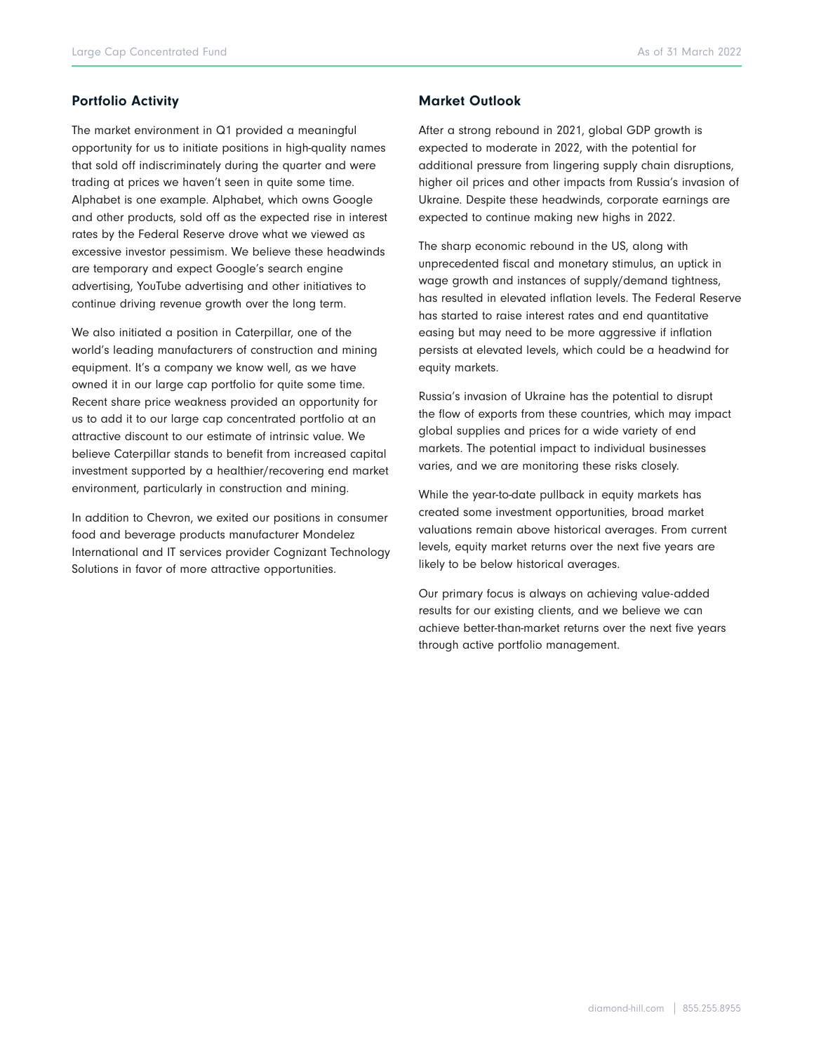### Portfolio Activity

The market environment in Q1 provided a meaningful opportunity for us to initiate positions in high-quality names that sold off indiscriminately during the quarter and were trading at prices we haven't seen in quite some time. Alphabet is one example. Alphabet, which owns Google and other products, sold off as the expected rise in interest rates by the Federal Reserve drove what we viewed as excessive investor pessimism. We believe these headwinds are temporary and expect Google's search engine advertising, YouTube advertising and other initiatives to continue driving revenue growth over the long term.

We also initiated a position in Caterpillar, one of the world's leading manufacturers of construction and mining equipment. It's a company we know well, as we have owned it in our large cap portfolio for quite some time. Recent share price weakness provided an opportunity for us to add it to our large cap concentrated portfolio at an attractive discount to our estimate of intrinsic value. We believe Caterpillar stands to benefit from increased capital investment supported by a healthier/recovering end market environment, particularly in construction and mining.

In addition to Chevron, we exited our positions in consumer food and beverage products manufacturer Mondelez International and IT services provider Cognizant Technology Solutions in favor of more attractive opportunities.

#### Market Outlook

After a strong rebound in 2021, global GDP growth is expected to moderate in 2022, with the potential for additional pressure from lingering supply chain disruptions, higher oil prices and other impacts from Russia's invasion of Ukraine. Despite these headwinds, corporate earnings are expected to continue making new highs in 2022.

The sharp economic rebound in the US, along with unprecedented fiscal and monetary stimulus, an uptick in wage growth and instances of supply/demand tightness, has resulted in elevated inflation levels. The Federal Reserve has started to raise interest rates and end quantitative easing but may need to be more aggressive if inflation persists at elevated levels, which could be a headwind for equity markets.

Russia's invasion of Ukraine has the potential to disrupt the flow of exports from these countries, which may impact global supplies and prices for a wide variety of end markets. The potential impact to individual businesses varies, and we are monitoring these risks closely.

While the year-to-date pullback in equity markets has created some investment opportunities, broad market valuations remain above historical averages. From current levels, equity market returns over the next five years are likely to be below historical averages.

Our primary focus is always on achieving value-added results for our existing clients, and we believe we can achieve better-than-market returns over the next five years through active portfolio management.